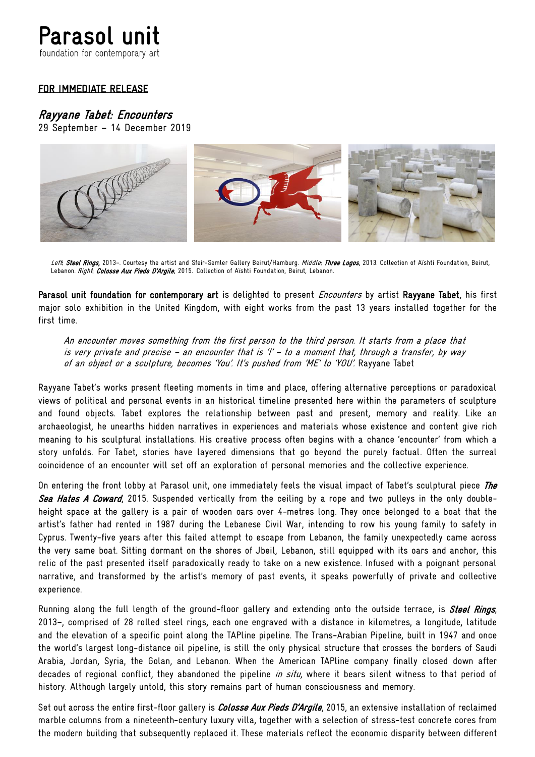# Parasol unit

foundation for contemporary art

## FOR IMMEDIATE RELEASE

## Rayyane Tabet: Encounters

29 September – 14 December 2019



Left: Steel Rings, 2013-. Courtesy the artist and Sfeir-Semler Gallery Beirut/Hamburg. Middle: Three Logos, 2013. Collection of Aïshti Foundation, Beirut, Lebanon. Right: Colosse Aux Pieds D'Argile, 2015. Collection of Aïshti Foundation, Beirut, Lebanon.

Parasol unit foundation for contemporary art is delighted to present *Encounters* by artist Rayyane Tabet, his first major solo exhibition in the United Kingdom, with eight works from the past 13 years installed together for the first time.

An encounter moves something from the first person to the third person. It starts from a place that is very private and precise – an encounter that is 'I' – to a moment that, through a transfer, by way of an object or a sculpture, becomes 'You'. It's pushed from 'ME' to 'YOU'. Rayyane Tabet

Rayyane Tabet's works present fleeting moments in time and place, offering alternative perceptions or paradoxical views of political and personal events in an historical timeline presented here within the parameters of sculpture and found objects. Tabet explores the relationship between past and present, memory and reality. Like an archaeologist, he unearths hidden narratives in experiences and materials whose existence and content give rich meaning to his sculptural installations. His creative process often begins with a chance 'encounter' from which a story unfolds. For Tabet, stories have layered dimensions that go beyond the purely factual. Often the surreal coincidence of an encounter will set off an exploration of personal memories and the collective experience.

On entering the front lobby at Parasol unit, one immediately feels the visual impact of Tabet's sculptural piece The Sea Hates A Coward, 2015. Suspended vertically from the ceiling by a rope and two pulleys in the only doubleheight space at the gallery is a pair of wooden oars over 4-metres long. They once belonged to a boat that the artist's father had rented in 1987 during the Lebanese Civil War, intending to row his young family to safety in Cyprus. Twenty-five years after this failed attempt to escape from Lebanon, the family unexpectedly came across the very same boat. Sitting dormant on the shores of Jbeil, Lebanon, still equipped with its oars and anchor, this relic of the past presented itself paradoxically ready to take on a new existence. Infused with a poignant personal narrative, and transformed by the artist's memory of past events, it speaks powerfully of private and collective experience.

Running along the full length of the ground-floor gallery and extending onto the outside terrace, is *Steel Rings*, 2013–, comprised of 28 rolled steel rings, each one engraved with a distance in kilometres, a longitude, latitude and the elevation of a specific point along the TAPline pipeline. The Trans-Arabian Pipeline, built in 1947 and once the world's largest long-distance oil pipeline, is still the only physical structure that crosses the borders of Saudi Arabia, Jordan, Syria, the Golan, and Lebanon. When the American TAPline company finally closed down after decades of regional conflict, they abandoned the pipeline *in situ*, where it bears silent witness to that period of history. Although largely untold, this story remains part of human consciousness and memory.

Set out across the entire first-floor gallery is *Colosse Aux Pieds D'Argile*, 2015, an extensive installation of reclaimed marble columns from a nineteenth-century luxury villa, together with a selection of stress-test concrete cores from the modern building that subsequently replaced it. These materials reflect the economic disparity between different